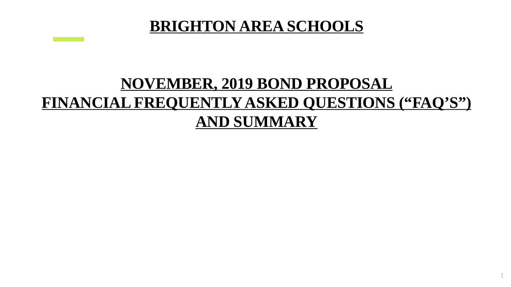# **BRIGHTON AREA SCHOOLS**

# **NOVEMBER, 2019 BOND PROPOSAL FINANCIAL FREQUENTLY ASKED QUESTIONS ("FAQ'S") AND SUMMARY**

1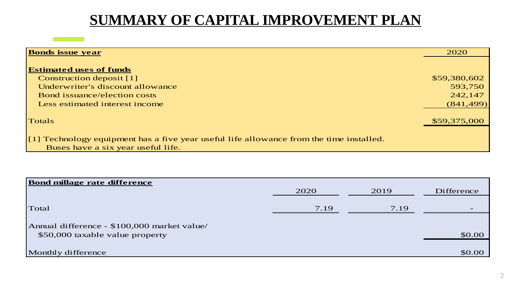### **SUMMARY OF CAPITAL IMPROVEMENT PLAN**

| <b>Bonds issue year</b>                                                                              |              |  |  |
|------------------------------------------------------------------------------------------------------|--------------|--|--|
|                                                                                                      |              |  |  |
| <b>Estimated uses of funds</b>                                                                       |              |  |  |
| <b>Construction deposit</b> [1]                                                                      | \$59,380,602 |  |  |
| Underwriter's discount allowance                                                                     | 593,750      |  |  |
| <b>Bond issuance/election costs</b>                                                                  | 242,147      |  |  |
| Less estimated interest income                                                                       | (841, 499)   |  |  |
|                                                                                                      |              |  |  |
| Totals                                                                                               | \$59,375,000 |  |  |
|                                                                                                      |              |  |  |
| $\left[1\right]$ Technology equipment has a five year useful life allowance from the time installed. |              |  |  |
| Buses have a six year useful life.                                                                   |              |  |  |

| <b>Bond millage rate difference</b>         |      |      |            |  |  |  |  |  |
|---------------------------------------------|------|------|------------|--|--|--|--|--|
|                                             | 2020 | 2019 | Difference |  |  |  |  |  |
|                                             |      |      |            |  |  |  |  |  |
| Total                                       | 7.19 | 7.19 |            |  |  |  |  |  |
|                                             |      |      |            |  |  |  |  |  |
| Annual difference - \$100,000 market value/ |      |      |            |  |  |  |  |  |
| \$50,000 taxable value property             |      |      | \$0.00     |  |  |  |  |  |
|                                             |      |      |            |  |  |  |  |  |
| Monthly difference                          |      |      | \$0.00     |  |  |  |  |  |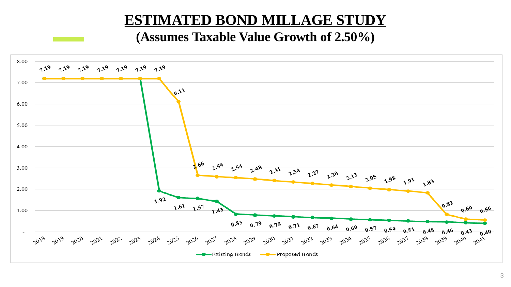#### **ESTIMATED BOND MILLAGE STUDY**

#### **(Assumes Taxable Value Growth of 2.50%)**

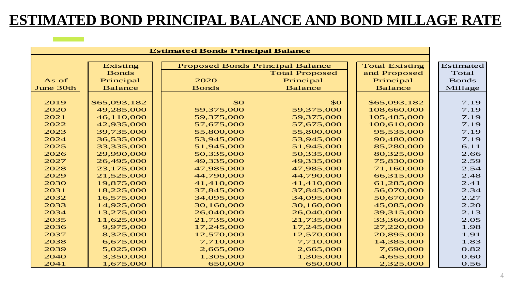### **ESTIMATED BOND PRINCIPAL BALANCE AND BOND MILLAGE RATE**

| <b>Estimated Bonds Principal Balance</b> |                |                                         |                       |                       |              |
|------------------------------------------|----------------|-----------------------------------------|-----------------------|-----------------------|--------------|
|                                          |                |                                         |                       |                       |              |
|                                          | Existing       | <b>Proposed Bonds Principal Balance</b> |                       | <b>Total Existing</b> | Estimated    |
|                                          | <b>Bonds</b>   |                                         | <b>Total Proposed</b> | and Proposed          | Total        |
| As of                                    | Principal      | 2020                                    | Principal             | Principal             | <b>Bonds</b> |
| June 30th                                | <b>Balance</b> | <b>Bonds</b>                            | <b>Balance</b>        | <b>Balance</b>        | Millage      |
|                                          |                |                                         |                       |                       |              |
| 2019                                     | \$65,093,182   | \$0                                     | \$O                   | \$65,093,182          | 7.19         |
| 2020                                     | 49,285,000     | 59,375,000                              | 59,375,000            | 108,660,000           | 7.19         |
| 2021                                     | 46,110,000     | 59,375,000                              | 59,375,000            | 105,485,000           | 7.19         |
| 2022                                     | 42,935,000     | 57,675,000                              | 57,675,000            | 100,610,000           | 7.19         |
| 2023                                     | 39,735,000     | 55,800,000                              | 55,800,000            | 95,535,000            | 7.19         |
| 2024                                     | 36,535,000     | 53,945,000                              | 53,945,000            | 90,480,000            | 7.19         |
| 2025                                     | 33,335,000     | 51,945,000                              | 51,945,000            | 85,280,000            | 6.11         |
| 2026                                     | 29,990,000     | 50,335,000                              | 50,335,000            | 80,325,000            | 2.66         |
| 2027                                     | 26,495,000     | 49,335,000                              | 49,335,000            | 75,830,000            | 2.59         |
| 2028                                     | 23,175,000     | 47,985,000                              | 47,985,000            | 71,160,000            | 2.54         |
| 2029                                     | 21,525,000     | 44,790,000                              | 44,790,000            | 66,315,000            | 2.48         |
| 2030                                     | 19,875,000     | 41,410,000                              | 41,410,000            | 61,285,000            | 2.41         |
| 2031                                     | 18,225,000     | 37,845,000                              | 37,845,000            | 56,070,000            | 2.34         |
| 2032                                     | 16,575,000     | 34,095,000                              | 34,095,000            | 50,670,000            | 2.27         |
| 2033                                     | 14,925,000     | 30,160,000                              | 30,160,000            | 45,085,000            | 2.20         |
| 2034                                     | 13,275,000     | 26,040,000                              | 26,040,000            | 39,315,000            | 2.13         |
| 2035                                     | 11,625,000     | 21,735,000                              | 21,735,000            | 33,360,000            | 2.05         |
| 2036                                     | 9,975,000      | 17,245,000                              | 17,245,000            | 27,220,000            | 1.98         |
| 2037                                     | 8,325,000      | 12,570,000                              | 12,570,000            | 20,895,000            | 1.91         |
| 2038                                     | 6,675,000      | 7,710,000                               | 7,710,000             | 14,385,000            | 1.83         |
| 2039                                     | 5,025,000      | 2,665,000                               | 2,665,000             | 7,690,000             | 0.82         |
| 2040                                     | 3,350,000      | 1,305,000                               | 1,305,000             | 4,655,000             | 0.60         |
| 2041                                     | 1,675,000      | 650,000                                 | 650,000               | 2,325,000             | 0.56         |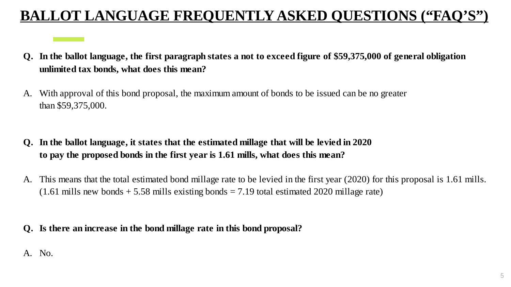# **BALLOT LANGUAGE FREQUENTLY ASKED QUESTIONS ("FAQ'S")**

- **Q. In the ballot language, the first paragraph states a not to exceed figure of \$59,375,000 of general obligation unlimited tax bonds, what does this mean?**
- A. With approval of this bond proposal, the maximum amount of bonds to be issued can be no greater than \$59,375,000.
- **Q. In the ballot language, it states that the estimated millage that will be levied in 2020 to pay the proposed bonds in the first year is 1.61 mills, what does this mean?**
- A. This means that the total estimated bond millage rate to be levied in the first year (2020) for this proposal is 1.61 mills.  $(1.61 \text{ mills new bonds} + 5.58 \text{ mills existing bonds} = 7.19 \text{ total estimated } 2020 \text{ millage rate})$

#### **Q. Is there an increase in the bond millage rate in this bond proposal?**

#### A. No.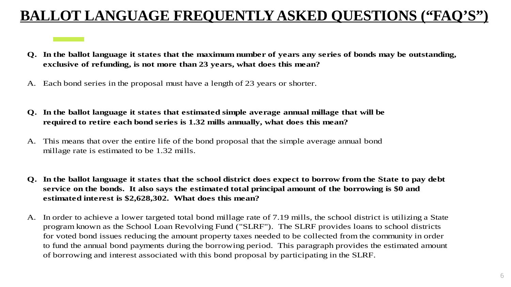## **BALLOT LANGUAGE FREQUENTLY ASKED QUESTIONS ("FAQ**

- **Q. In the ballot language it states that the maximum number of years any series of bonds may be outstanding, exclusive of refunding, is not more than 23 years, what does this mean?**
- A. Each bond series in the proposal must have a length of 23 years or shorter.
- **Q. In the ballot language it states that estimated simple average annual millage that will be required to retire each bond series is 1.32 mills annually, what does this mean?**
- A. This means that over the entire life of the bond proposal that the simple average annual bond millage rate is estimated to be 1.32 mills.
- **Q. In the ballot language it states that the school district does expect to borrow from the State to pay debt service on the bonds. It also says the estimated total principal amount of the borrowing is \$0 and estimated interest is \$2,628,302. What does this mean?**
- A. In order to achieve a lower targeted total bond millage rate of 7.19 mills, the school district is utilizing a State program known as the School Loan Revolving Fund ("SLRF"). The SLRF provides loans to school districts for voted bond issues reducing the amount property taxes needed to be collected from the community in order to fund the annual bond payments during the borrowing period. This paragraph provides the estimated amount of borrowing and interest associated with this bond proposal by participating in the SLRF.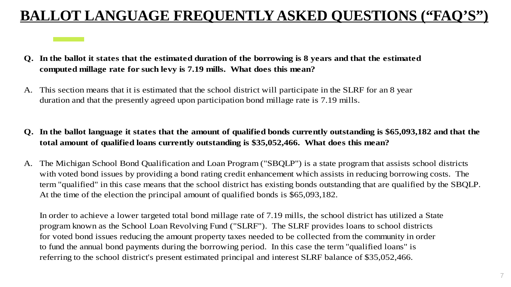## **BALLOT LANGUAGE FREQUENTLY ASKED QUESTIONS ("FAQ"**

- **Q. In the ballot it states that the estimated duration of the borrowing is 8 years and that the estimated computed millage rate for such levy is 7.19 mills. What does this mean?**
- A. This section means that it is estimated that the school district will participate in the SLRF for an 8 year duration and that the presently agreed upon participation bond millage rate is 7.19 mills.
- **Q. In the ballot language it states that the amount of qualified bonds currently outstanding is \$65,093,182 and that the total amount of qualified loans currently outstanding is \$35,052,466. What does this mean?**
- A. The Michigan School Bond Qualification and Loan Program ("SBQLP") is a state program that assists school districts with voted bond issues by providing a bond rating credit enhancement which assists in reducing borrowing costs. The term "qualified" in this case means that the school district has existing bonds outstanding that are qualified by the SBQLP. At the time of the election the principal amount of qualified bonds is \$65,093,182.

In order to achieve a lower targeted total bond millage rate of 7.19 mills, the school district has utilized a State program known as the School Loan Revolving Fund ("SLRF"). The SLRF provides loans to school districts for voted bond issues reducing the amount property taxes needed to be collected from the community in order to fund the annual bond payments during the borrowing period. In this case the term "qualified loans" is referring to the school district's present estimated principal and interest SLRF balance of \$35,052,466.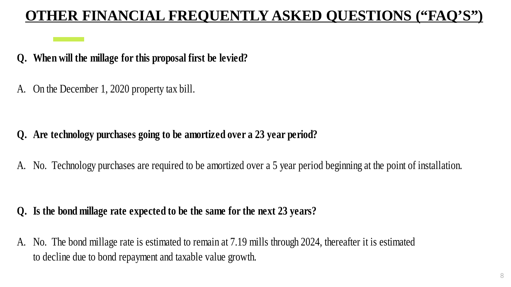# **OTHER FINANCIAL FREQUENTLY ASKED QUESTIONS ("FAQ'S")**

#### **Q. When will the millage for this proposal first be levied?**

A. On the December 1, 2020 property tax bill.

#### **Q. Are technology purchases going to be amortized over a 23 year period?**

A. No. Technology purchases are required to be amortized over a 5 year period beginning at the point of installation.

#### **Q. Is the bond millage rate expected to be the same for the next 23 years?**

A. No. The bond millage rate is estimated to remain at 7.19 mills through 2024, thereafter it is estimated to decline due to bond repayment and taxable value growth.